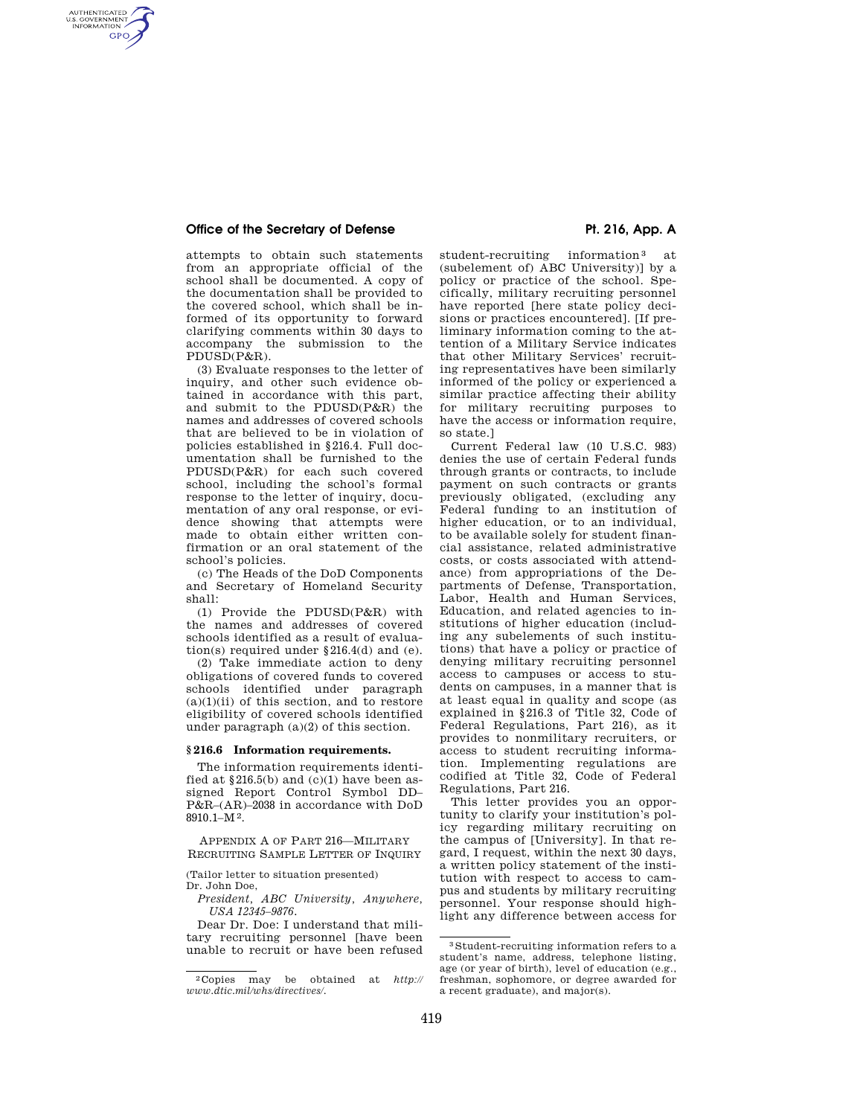## Office of the Secretary of Defense **Primitive Pt. 216, App. A**

AUTHENTICATED<br>U.S. GOVERNMENT<br>INFORMATION **GPO** 

> attempts to obtain such statements from an appropriate official of the school shall be documented. A copy of the documentation shall be provided to the covered school, which shall be informed of its opportunity to forward clarifying comments within 30 days to accompany the submission to the PDUSD(P&R).

> (3) Evaluate responses to the letter of inquiry, and other such evidence obtained in accordance with this part, and submit to the PDUSD(P&R) the names and addresses of covered schools that are believed to be in violation of policies established in §216.4. Full documentation shall be furnished to the PDUSD(P&R) for each such covered school, including the school's formal response to the letter of inquiry, documentation of any oral response, or evidence showing that attempts were made to obtain either written confirmation or an oral statement of the school's policies.

(c) The Heads of the DoD Components and Secretary of Homeland Security shall:

(1) Provide the PDUSD(P&R) with the names and addresses of covered schools identified as a result of evaluation(s) required under §216.4(d) and (e).

(2) Take immediate action to deny obligations of covered funds to covered schools identified under paragraph  $(a)(1)(ii)$  of this section, and to restore eligibility of covered schools identified under paragraph (a)(2) of this section.

## **§ 216.6 Information requirements.**

The information requirements identified at  $$216.5(b)$  and  $(c)(1)$  have been assigned Report Control Symbol DD– P&R–(AR)–2038 in accordance with DoD 8910.1–M2.

APPENDIX A OF PART 216—MILITARY RECRUITING SAMPLE LETTER OF INQUIRY

(Tailor letter to situation presented) Dr. John Doe,

*President, ABC University, Anywhere, USA 12345–9876.* 

Dear Dr. Doe: I understand that military recruiting personnel [have been unable to recruit or have been refused student-recruiting information<sup>3</sup> at (subelement of) ABC University)] by a policy or practice of the school. Specifically, military recruiting personnel have reported [here state policy decisions or practices encountered]. [If preliminary information coming to the attention of a Military Service indicates that other Military Services' recruiting representatives have been similarly informed of the policy or experienced a similar practice affecting their ability for military recruiting purposes to have the access or information require, so state.]

Current Federal law (10 U.S.C. 983) denies the use of certain Federal funds through grants or contracts, to include payment on such contracts or grants previously obligated, (excluding any Federal funding to an institution of higher education, or to an individual, to be available solely for student financial assistance, related administrative costs, or costs associated with attendance) from appropriations of the Departments of Defense, Transportation, Labor, Health and Human Services, Education, and related agencies to institutions of higher education (including any subelements of such institutions) that have a policy or practice of denying military recruiting personnel access to campuses or access to students on campuses, in a manner that is at least equal in quality and scope (as explained in §216.3 of Title 32, Code of Federal Regulations, Part 216), as it provides to nonmilitary recruiters, or access to student recruiting information. Implementing regulations are codified at Title 32, Code of Federal Regulations, Part 216.

This letter provides you an opportunity to clarify your institution's policy regarding military recruiting on the campus of [University]. In that regard, I request, within the next 30 days, a written policy statement of the institution with respect to access to campus and students by military recruiting personnel. Your response should highlight any difference between access for

<sup>2</sup> Copies may be obtained at *http:// www.dtic.mil/whs/directives/.* 

<sup>3</sup> Student-recruiting information refers to a student's name, address, telephone listing, age (or year of birth), level of education (e.g., freshman, sophomore, or degree awarded for a recent graduate), and major(s).